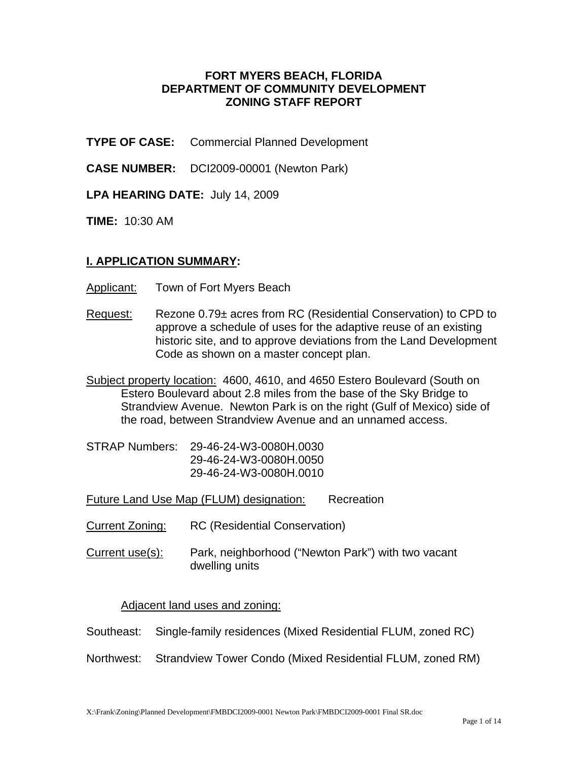### **FORT MYERS BEACH, FLORIDA DEPARTMENT OF COMMUNITY DEVELOPMENT ZONING STAFF REPORT**

**TYPE OF CASE:** Commercial Planned Development

**CASE NUMBER:** DCI2009-00001 (Newton Park)

**LPA HEARING DATE:** July 14, 2009

**TIME:** 10:30 AM

### **I. APPLICATION SUMMARY:**

Applicant: Town of Fort Myers Beach

- Request: Rezone 0.79± acres from RC (Residential Conservation) to CPD to approve a schedule of uses for the adaptive reuse of an existing historic site, and to approve deviations from the Land Development Code as shown on a master concept plan.
- Subject property location: 4600, 4610, and 4650 Estero Boulevard (South on Estero Boulevard about 2.8 miles from the base of the Sky Bridge to Strandview Avenue. Newton Park is on the right (Gulf of Mexico) side of the road, between Strandview Avenue and an unnamed access.
- STRAP Numbers: 29-46-24-W3-0080H.0030 29-46-24-W3-0080H.0050 29-46-24-W3-0080H.0010

Future Land Use Map (FLUM) designation: Recreation

- Current Zoning: RC (Residential Conservation)
- Current use(s): Park, neighborhood ("Newton Park") with two vacant dwelling units

#### Adjacent land uses and zoning:

- Southeast: Single-family residences (Mixed Residential FLUM, zoned RC)
- Northwest: Strandview Tower Condo (Mixed Residential FLUM, zoned RM)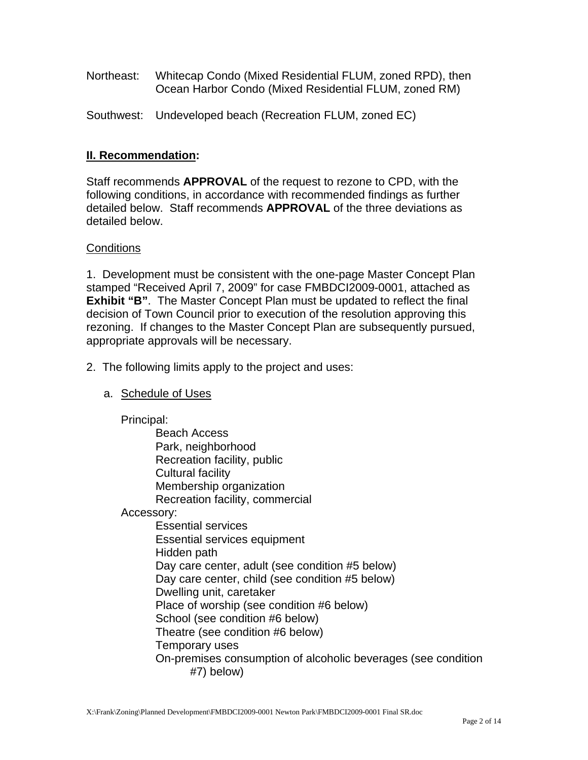- Northeast: Whitecap Condo (Mixed Residential FLUM, zoned RPD), then Ocean Harbor Condo (Mixed Residential FLUM, zoned RM)
- Southwest: Undeveloped beach (Recreation FLUM, zoned EC)

## **II. Recommendation:**

Staff recommends **APPROVAL** of the request to rezone to CPD, with the following conditions, in accordance with recommended findings as further detailed below. Staff recommends **APPROVAL** of the three deviations as detailed below.

### **Conditions**

1. Development must be consistent with the one-page Master Concept Plan stamped "Received April 7, 2009" for case FMBDCI2009-0001, attached as **Exhibit "B"**. The Master Concept Plan must be updated to reflect the final decision of Town Council prior to execution of the resolution approving this rezoning. If changes to the Master Concept Plan are subsequently pursued, appropriate approvals will be necessary.

- 2. The following limits apply to the project and uses:
	- a. Schedule of Uses

Principal:

Beach Access Park, neighborhood Recreation facility, public Cultural facility Membership organization Recreation facility, commercial

Accessory:

 Essential services Essential services equipment Hidden path Day care center, adult (see condition #5 below) Day care center, child (see condition #5 below) Dwelling unit, caretaker Place of worship (see condition #6 below) School (see condition #6 below) Theatre (see condition #6 below) Temporary uses On-premises consumption of alcoholic beverages (see condition #7) below)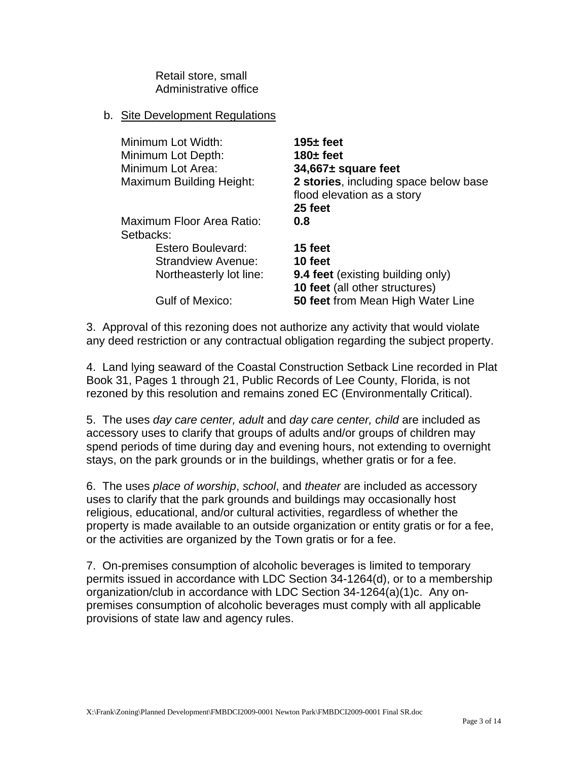Retail store, small Administrative office

### b. Site Development Regulations

| Minimum Lot Width:<br>Minimum Lot Depth:<br>Minimum Lot Area:<br><b>Maximum Building Height:</b> | $195 +$ feet<br>$180 \pm$ feet<br>$34,667 \pm$ square feet<br>2 stories, including space below base<br>flood elevation as a story |  |
|--------------------------------------------------------------------------------------------------|-----------------------------------------------------------------------------------------------------------------------------------|--|
|                                                                                                  | 25 feet                                                                                                                           |  |
| Maximum Floor Area Ratio:                                                                        | 0.8                                                                                                                               |  |
| Setbacks:                                                                                        |                                                                                                                                   |  |
| <b>Estero Boulevard:</b>                                                                         | 15 feet                                                                                                                           |  |
| <b>Strandview Avenue:</b>                                                                        | 10 feet                                                                                                                           |  |
| Northeasterly lot line:                                                                          | 9.4 feet (existing building only)<br><b>10 feet</b> (all other structures)                                                        |  |
| <b>Gulf of Mexico:</b>                                                                           | <b>50 feet from Mean High Water Line</b>                                                                                          |  |

3. Approval of this rezoning does not authorize any activity that would violate any deed restriction or any contractual obligation regarding the subject property.

4. Land lying seaward of the Coastal Construction Setback Line recorded in Plat Book 31, Pages 1 through 21, Public Records of Lee County, Florida, is not rezoned by this resolution and remains zoned EC (Environmentally Critical).

5. The uses *day care center, adult* and *day care center, child* are included as accessory uses to clarify that groups of adults and/or groups of children may spend periods of time during day and evening hours, not extending to overnight stays, on the park grounds or in the buildings, whether gratis or for a fee.

6. The uses *place of worship*, *school*, and *theater* are included as accessory uses to clarify that the park grounds and buildings may occasionally host religious, educational, and/or cultural activities, regardless of whether the property is made available to an outside organization or entity gratis or for a fee, or the activities are organized by the Town gratis or for a fee.

7. On-premises consumption of alcoholic beverages is limited to temporary permits issued in accordance with LDC Section 34-1264(d), or to a membership organization/club in accordance with LDC Section 34-1264(a)(1)c. Any onpremises consumption of alcoholic beverages must comply with all applicable provisions of state law and agency rules.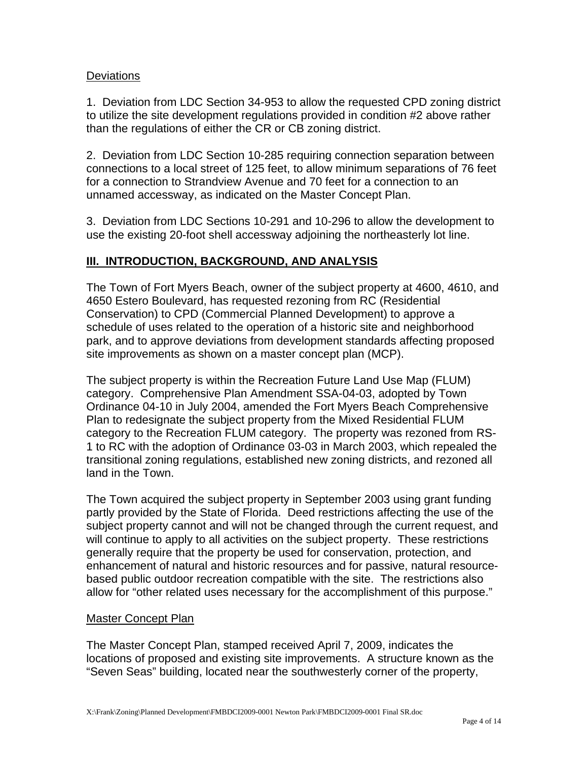### **Deviations**

1. Deviation from LDC Section 34-953 to allow the requested CPD zoning district to utilize the site development regulations provided in condition #2 above rather than the regulations of either the CR or CB zoning district.

2. Deviation from LDC Section 10-285 requiring connection separation between connections to a local street of 125 feet, to allow minimum separations of 76 feet for a connection to Strandview Avenue and 70 feet for a connection to an unnamed accessway, as indicated on the Master Concept Plan.

3. Deviation from LDC Sections 10-291 and 10-296 to allow the development to use the existing 20-foot shell accessway adjoining the northeasterly lot line.

# **III. INTRODUCTION, BACKGROUND, AND ANALYSIS**

The Town of Fort Myers Beach, owner of the subject property at 4600, 4610, and 4650 Estero Boulevard, has requested rezoning from RC (Residential Conservation) to CPD (Commercial Planned Development) to approve a schedule of uses related to the operation of a historic site and neighborhood park, and to approve deviations from development standards affecting proposed site improvements as shown on a master concept plan (MCP).

The subject property is within the Recreation Future Land Use Map (FLUM) category. Comprehensive Plan Amendment SSA-04-03, adopted by Town Ordinance 04-10 in July 2004, amended the Fort Myers Beach Comprehensive Plan to redesignate the subject property from the Mixed Residential FLUM category to the Recreation FLUM category. The property was rezoned from RS-1 to RC with the adoption of Ordinance 03-03 in March 2003, which repealed the transitional zoning regulations, established new zoning districts, and rezoned all land in the Town.

The Town acquired the subject property in September 2003 using grant funding partly provided by the State of Florida. Deed restrictions affecting the use of the subject property cannot and will not be changed through the current request, and will continue to apply to all activities on the subject property. These restrictions generally require that the property be used for conservation, protection, and enhancement of natural and historic resources and for passive, natural resourcebased public outdoor recreation compatible with the site. The restrictions also allow for "other related uses necessary for the accomplishment of this purpose."

#### Master Concept Plan

The Master Concept Plan, stamped received April 7, 2009, indicates the locations of proposed and existing site improvements. A structure known as the "Seven Seas" building, located near the southwesterly corner of the property,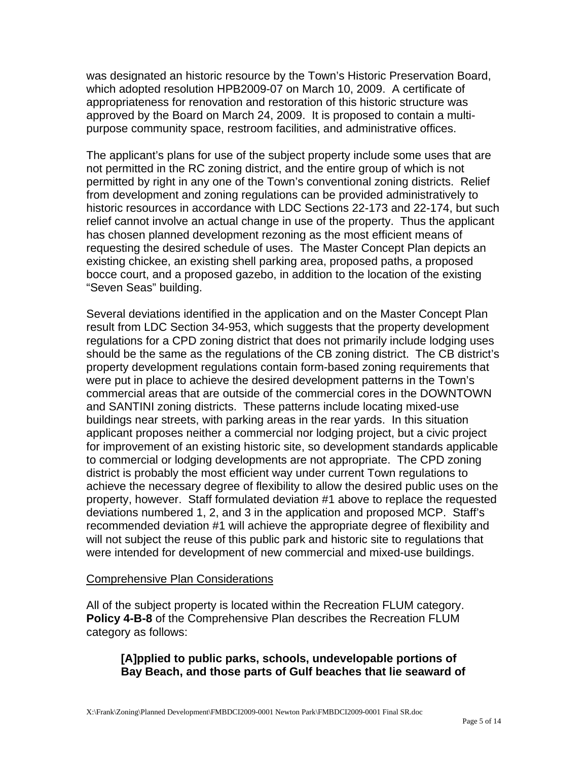was designated an historic resource by the Town's Historic Preservation Board, which adopted resolution HPB2009-07 on March 10, 2009. A certificate of appropriateness for renovation and restoration of this historic structure was approved by the Board on March 24, 2009. It is proposed to contain a multipurpose community space, restroom facilities, and administrative offices.

The applicant's plans for use of the subject property include some uses that are not permitted in the RC zoning district, and the entire group of which is not permitted by right in any one of the Town's conventional zoning districts. Relief from development and zoning regulations can be provided administratively to historic resources in accordance with LDC Sections 22-173 and 22-174, but such relief cannot involve an actual change in use of the property. Thus the applicant has chosen planned development rezoning as the most efficient means of requesting the desired schedule of uses. The Master Concept Plan depicts an existing chickee, an existing shell parking area, proposed paths, a proposed bocce court, and a proposed gazebo, in addition to the location of the existing "Seven Seas" building.

Several deviations identified in the application and on the Master Concept Plan result from LDC Section 34-953, which suggests that the property development regulations for a CPD zoning district that does not primarily include lodging uses should be the same as the regulations of the CB zoning district. The CB district's property development regulations contain form-based zoning requirements that were put in place to achieve the desired development patterns in the Town's commercial areas that are outside of the commercial cores in the DOWNTOWN and SANTINI zoning districts. These patterns include locating mixed-use buildings near streets, with parking areas in the rear yards. In this situation applicant proposes neither a commercial nor lodging project, but a civic project for improvement of an existing historic site, so development standards applicable to commercial or lodging developments are not appropriate. The CPD zoning district is probably the most efficient way under current Town regulations to achieve the necessary degree of flexibility to allow the desired public uses on the property, however. Staff formulated deviation #1 above to replace the requested deviations numbered 1, 2, and 3 in the application and proposed MCP. Staff's recommended deviation #1 will achieve the appropriate degree of flexibility and will not subject the reuse of this public park and historic site to regulations that were intended for development of new commercial and mixed-use buildings.

#### Comprehensive Plan Considerations

All of the subject property is located within the Recreation FLUM category. **Policy 4-B-8** of the Comprehensive Plan describes the Recreation FLUM category as follows:

## **[A]pplied to public parks, schools, undevelopable portions of Bay Beach, and those parts of Gulf beaches that lie seaward of**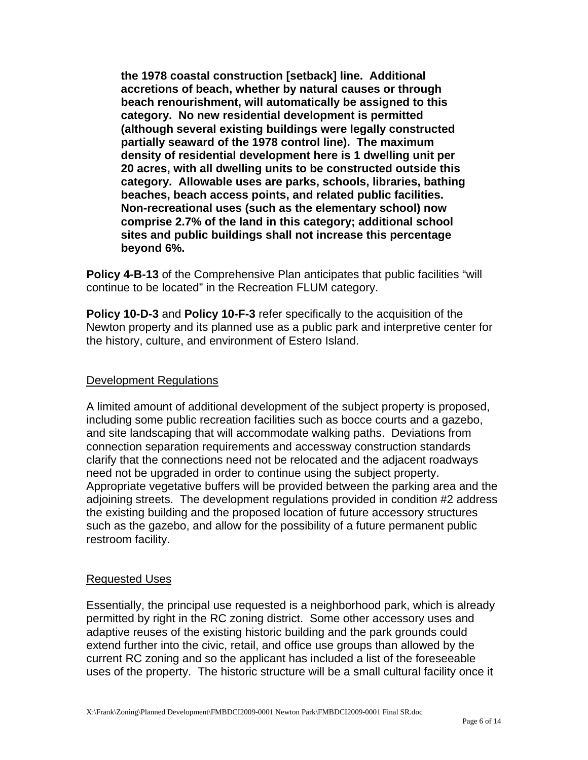**the 1978 coastal construction [setback] line. Additional accretions of beach, whether by natural causes or through beach renourishment, will automatically be assigned to this category. No new residential development is permitted (although several existing buildings were legally constructed partially seaward of the 1978 control line). The maximum density of residential development here is 1 dwelling unit per 20 acres, with all dwelling units to be constructed outside this category. Allowable uses are parks, schools, libraries, bathing beaches, beach access points, and related public facilities. Non-recreational uses (such as the elementary school) now comprise 2.7% of the land in this category; additional school sites and public buildings shall not increase this percentage beyond 6%.** 

**Policy 4-B-13** of the Comprehensive Plan anticipates that public facilities "will continue to be located" in the Recreation FLUM category.

**Policy 10-D-3** and **Policy 10-F-3** refer specifically to the acquisition of the Newton property and its planned use as a public park and interpretive center for the history, culture, and environment of Estero Island.

## Development Regulations

A limited amount of additional development of the subject property is proposed, including some public recreation facilities such as bocce courts and a gazebo, and site landscaping that will accommodate walking paths. Deviations from connection separation requirements and accessway construction standards clarify that the connections need not be relocated and the adjacent roadways need not be upgraded in order to continue using the subject property. Appropriate vegetative buffers will be provided between the parking area and the adjoining streets. The development regulations provided in condition #2 address the existing building and the proposed location of future accessory structures such as the gazebo, and allow for the possibility of a future permanent public restroom facility.

#### Requested Uses

Essentially, the principal use requested is a neighborhood park, which is already permitted by right in the RC zoning district. Some other accessory uses and adaptive reuses of the existing historic building and the park grounds could extend further into the civic, retail, and office use groups than allowed by the current RC zoning and so the applicant has included a list of the foreseeable uses of the property. The historic structure will be a small cultural facility once it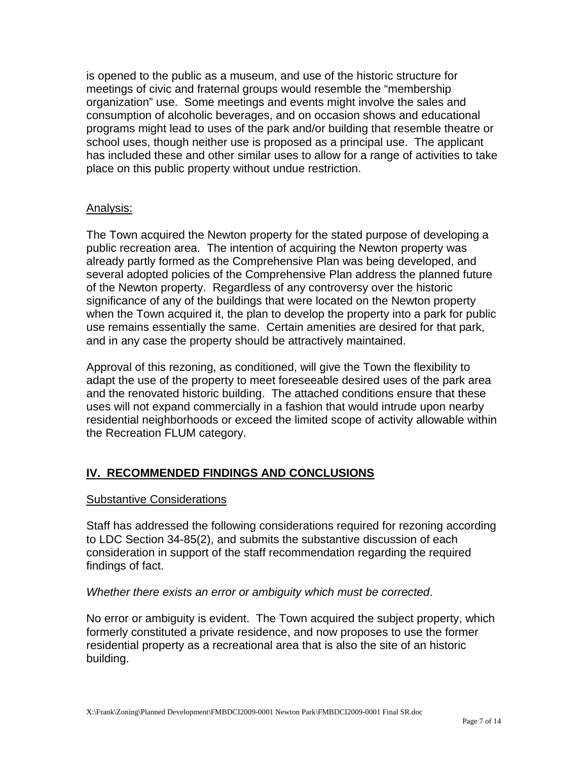is opened to the public as a museum, and use of the historic structure for meetings of civic and fraternal groups would resemble the "membership organization" use. Some meetings and events might involve the sales and consumption of alcoholic beverages, and on occasion shows and educational programs might lead to uses of the park and/or building that resemble theatre or school uses, though neither use is proposed as a principal use. The applicant has included these and other similar uses to allow for a range of activities to take place on this public property without undue restriction.

## Analysis:

The Town acquired the Newton property for the stated purpose of developing a public recreation area. The intention of acquiring the Newton property was already partly formed as the Comprehensive Plan was being developed, and several adopted policies of the Comprehensive Plan address the planned future of the Newton property. Regardless of any controversy over the historic significance of any of the buildings that were located on the Newton property when the Town acquired it, the plan to develop the property into a park for public use remains essentially the same. Certain amenities are desired for that park, and in any case the property should be attractively maintained.

Approval of this rezoning, as conditioned, will give the Town the flexibility to adapt the use of the property to meet foreseeable desired uses of the park area and the renovated historic building. The attached conditions ensure that these uses will not expand commercially in a fashion that would intrude upon nearby residential neighborhoods or exceed the limited scope of activity allowable within the Recreation FLUM category.

# **IV. RECOMMENDED FINDINGS AND CONCLUSIONS**

#### Substantive Considerations

Staff has addressed the following considerations required for rezoning according to LDC Section 34-85(2), and submits the substantive discussion of each consideration in support of the staff recommendation regarding the required findings of fact.

#### *Whether there exists an error or ambiguity which must be corrected*.

No error or ambiguity is evident. The Town acquired the subject property, which formerly constituted a private residence, and now proposes to use the former residential property as a recreational area that is also the site of an historic building.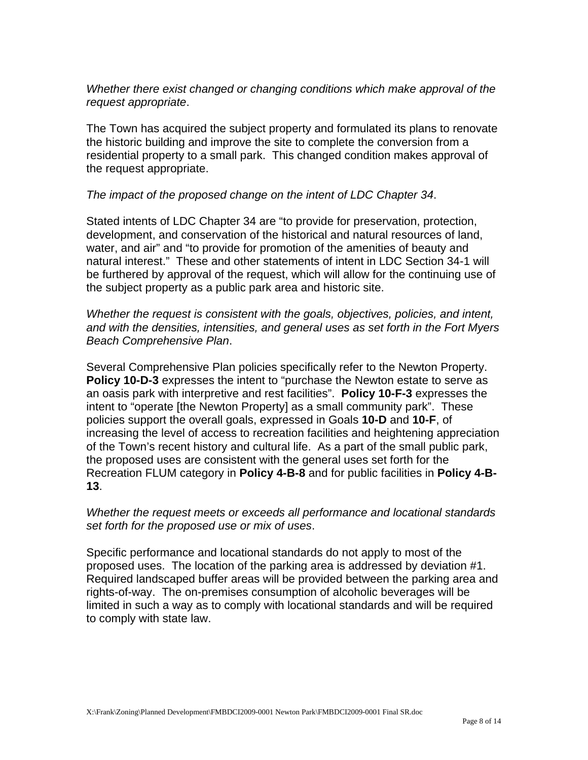*Whether there exist changed or changing conditions which make approval of the request appropriate*.

The Town has acquired the subject property and formulated its plans to renovate the historic building and improve the site to complete the conversion from a residential property to a small park. This changed condition makes approval of the request appropriate.

### *The impact of the proposed change on the intent of LDC Chapter 34*.

Stated intents of LDC Chapter 34 are "to provide for preservation, protection, development, and conservation of the historical and natural resources of land, water, and air" and "to provide for promotion of the amenities of beauty and natural interest." These and other statements of intent in LDC Section 34-1 will be furthered by approval of the request, which will allow for the continuing use of the subject property as a public park area and historic site.

*Whether the request is consistent with the goals, objectives, policies, and intent, and with the densities, intensities, and general uses as set forth in the Fort Myers Beach Comprehensive Plan*.

Several Comprehensive Plan policies specifically refer to the Newton Property. **Policy 10-D-3** expresses the intent to "purchase the Newton estate to serve as an oasis park with interpretive and rest facilities". **Policy 10-F-3** expresses the intent to "operate [the Newton Property] as a small community park". These policies support the overall goals, expressed in Goals **10-D** and **10-F**, of increasing the level of access to recreation facilities and heightening appreciation of the Town's recent history and cultural life. As a part of the small public park, the proposed uses are consistent with the general uses set forth for the Recreation FLUM category in **Policy 4-B-8** and for public facilities in **Policy 4-B-13**.

*Whether the request meets or exceeds all performance and locational standards set forth for the proposed use or mix of uses*.

Specific performance and locational standards do not apply to most of the proposed uses. The location of the parking area is addressed by deviation #1. Required landscaped buffer areas will be provided between the parking area and rights-of-way. The on-premises consumption of alcoholic beverages will be limited in such a way as to comply with locational standards and will be required to comply with state law.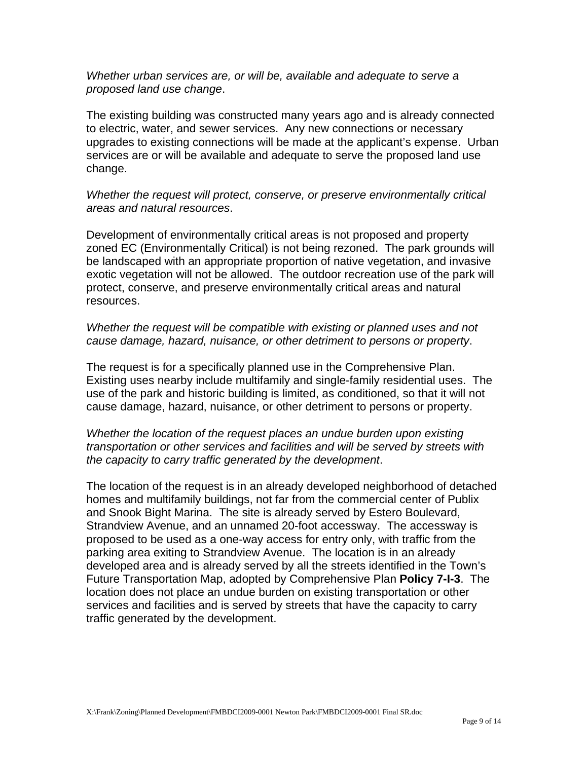*Whether urban services are, or will be, available and adequate to serve a proposed land use change*.

The existing building was constructed many years ago and is already connected to electric, water, and sewer services. Any new connections or necessary upgrades to existing connections will be made at the applicant's expense. Urban services are or will be available and adequate to serve the proposed land use change.

*Whether the request will protect, conserve, or preserve environmentally critical areas and natural resources*.

Development of environmentally critical areas is not proposed and property zoned EC (Environmentally Critical) is not being rezoned. The park grounds will be landscaped with an appropriate proportion of native vegetation, and invasive exotic vegetation will not be allowed. The outdoor recreation use of the park will protect, conserve, and preserve environmentally critical areas and natural resources.

*Whether the request will be compatible with existing or planned uses and not cause damage, hazard, nuisance, or other detriment to persons or property*.

The request is for a specifically planned use in the Comprehensive Plan. Existing uses nearby include multifamily and single-family residential uses. The use of the park and historic building is limited, as conditioned, so that it will not cause damage, hazard, nuisance, or other detriment to persons or property.

### *Whether the location of the request places an undue burden upon existing transportation or other services and facilities and will be served by streets with the capacity to carry traffic generated by the development*.

The location of the request is in an already developed neighborhood of detached homes and multifamily buildings, not far from the commercial center of Publix and Snook Bight Marina. The site is already served by Estero Boulevard, Strandview Avenue, and an unnamed 20-foot accessway. The accessway is proposed to be used as a one-way access for entry only, with traffic from the parking area exiting to Strandview Avenue. The location is in an already developed area and is already served by all the streets identified in the Town's Future Transportation Map, adopted by Comprehensive Plan **Policy 7-I-3**. The location does not place an undue burden on existing transportation or other services and facilities and is served by streets that have the capacity to carry traffic generated by the development.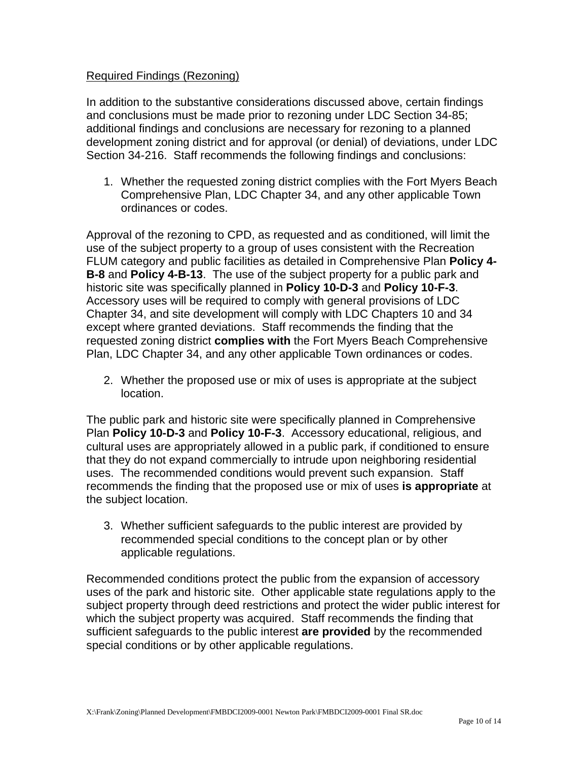### Required Findings (Rezoning)

In addition to the substantive considerations discussed above, certain findings and conclusions must be made prior to rezoning under LDC Section 34-85; additional findings and conclusions are necessary for rezoning to a planned development zoning district and for approval (or denial) of deviations, under LDC Section 34-216. Staff recommends the following findings and conclusions:

1. Whether the requested zoning district complies with the Fort Myers Beach Comprehensive Plan, LDC Chapter 34, and any other applicable Town ordinances or codes.

Approval of the rezoning to CPD, as requested and as conditioned, will limit the use of the subject property to a group of uses consistent with the Recreation FLUM category and public facilities as detailed in Comprehensive Plan **Policy 4- B-8** and **Policy 4-B-13**. The use of the subject property for a public park and historic site was specifically planned in **Policy 10-D-3** and **Policy 10-F-3**. Accessory uses will be required to comply with general provisions of LDC Chapter 34, and site development will comply with LDC Chapters 10 and 34 except where granted deviations. Staff recommends the finding that the requested zoning district **complies with** the Fort Myers Beach Comprehensive Plan, LDC Chapter 34, and any other applicable Town ordinances or codes.

2. Whether the proposed use or mix of uses is appropriate at the subject location.

The public park and historic site were specifically planned in Comprehensive Plan **Policy 10-D-3** and **Policy 10-F-3**. Accessory educational, religious, and cultural uses are appropriately allowed in a public park, if conditioned to ensure that they do not expand commercially to intrude upon neighboring residential uses. The recommended conditions would prevent such expansion. Staff recommends the finding that the proposed use or mix of uses **is appropriate** at the subject location.

3. Whether sufficient safeguards to the public interest are provided by recommended special conditions to the concept plan or by other applicable regulations.

Recommended conditions protect the public from the expansion of accessory uses of the park and historic site. Other applicable state regulations apply to the subject property through deed restrictions and protect the wider public interest for which the subject property was acquired. Staff recommends the finding that sufficient safeguards to the public interest **are provided** by the recommended special conditions or by other applicable regulations.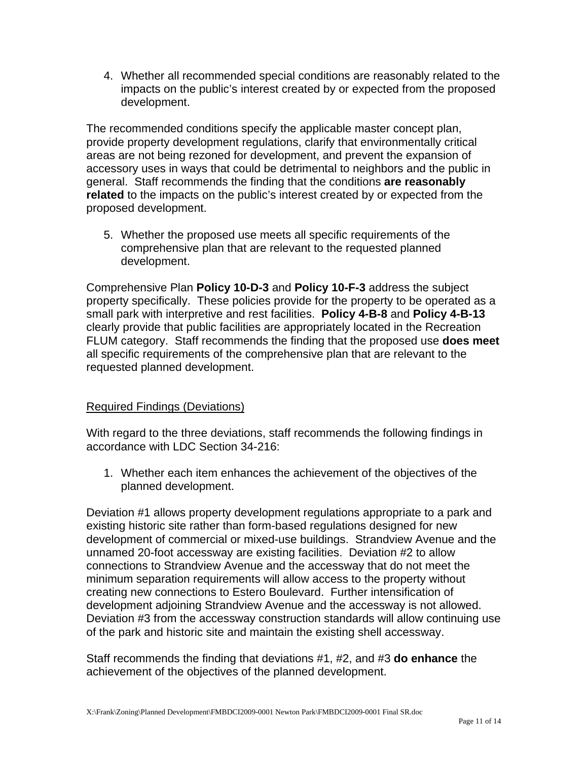4. Whether all recommended special conditions are reasonably related to the impacts on the public's interest created by or expected from the proposed development.

The recommended conditions specify the applicable master concept plan, provide property development regulations, clarify that environmentally critical areas are not being rezoned for development, and prevent the expansion of accessory uses in ways that could be detrimental to neighbors and the public in general. Staff recommends the finding that the conditions **are reasonably related** to the impacts on the public's interest created by or expected from the proposed development.

5. Whether the proposed use meets all specific requirements of the comprehensive plan that are relevant to the requested planned development.

Comprehensive Plan **Policy 10-D-3** and **Policy 10-F-3** address the subject property specifically. These policies provide for the property to be operated as a small park with interpretive and rest facilities. **Policy 4-B-8** and **Policy 4-B-13** clearly provide that public facilities are appropriately located in the Recreation FLUM category. Staff recommends the finding that the proposed use **does meet** all specific requirements of the comprehensive plan that are relevant to the requested planned development.

## Required Findings (Deviations)

With regard to the three deviations, staff recommends the following findings in accordance with LDC Section 34-216:

1. Whether each item enhances the achievement of the objectives of the planned development.

Deviation #1 allows property development regulations appropriate to a park and existing historic site rather than form-based regulations designed for new development of commercial or mixed-use buildings. Strandview Avenue and the unnamed 20-foot accessway are existing facilities. Deviation #2 to allow connections to Strandview Avenue and the accessway that do not meet the minimum separation requirements will allow access to the property without creating new connections to Estero Boulevard. Further intensification of development adjoining Strandview Avenue and the accessway is not allowed. Deviation #3 from the accessway construction standards will allow continuing use of the park and historic site and maintain the existing shell accessway.

Staff recommends the finding that deviations #1, #2, and #3 **do enhance** the achievement of the objectives of the planned development.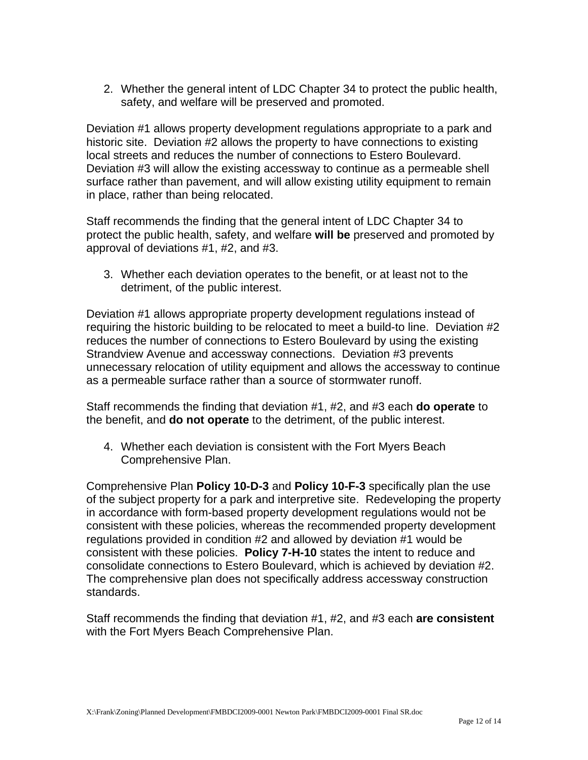2. Whether the general intent of LDC Chapter 34 to protect the public health, safety, and welfare will be preserved and promoted.

Deviation #1 allows property development regulations appropriate to a park and historic site. Deviation #2 allows the property to have connections to existing local streets and reduces the number of connections to Estero Boulevard. Deviation #3 will allow the existing accessway to continue as a permeable shell surface rather than pavement, and will allow existing utility equipment to remain in place, rather than being relocated.

Staff recommends the finding that the general intent of LDC Chapter 34 to protect the public health, safety, and welfare **will be** preserved and promoted by approval of deviations #1, #2, and #3.

3. Whether each deviation operates to the benefit, or at least not to the detriment, of the public interest.

Deviation #1 allows appropriate property development regulations instead of requiring the historic building to be relocated to meet a build-to line. Deviation #2 reduces the number of connections to Estero Boulevard by using the existing Strandview Avenue and accessway connections. Deviation #3 prevents unnecessary relocation of utility equipment and allows the accessway to continue as a permeable surface rather than a source of stormwater runoff.

Staff recommends the finding that deviation #1, #2, and #3 each **do operate** to the benefit, and **do not operate** to the detriment, of the public interest.

4. Whether each deviation is consistent with the Fort Myers Beach Comprehensive Plan.

Comprehensive Plan **Policy 10-D-3** and **Policy 10-F-3** specifically plan the use of the subject property for a park and interpretive site. Redeveloping the property in accordance with form-based property development regulations would not be consistent with these policies, whereas the recommended property development regulations provided in condition #2 and allowed by deviation #1 would be consistent with these policies. **Policy 7-H-10** states the intent to reduce and consolidate connections to Estero Boulevard, which is achieved by deviation #2. The comprehensive plan does not specifically address accessway construction standards.

Staff recommends the finding that deviation #1, #2, and #3 each **are consistent** with the Fort Myers Beach Comprehensive Plan.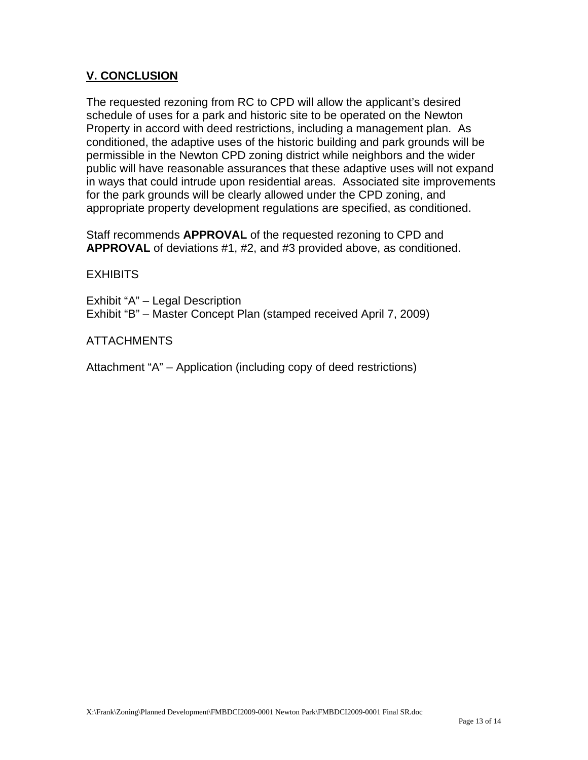## **V. CONCLUSION**

The requested rezoning from RC to CPD will allow the applicant's desired schedule of uses for a park and historic site to be operated on the Newton Property in accord with deed restrictions, including a management plan. As conditioned, the adaptive uses of the historic building and park grounds will be permissible in the Newton CPD zoning district while neighbors and the wider public will have reasonable assurances that these adaptive uses will not expand in ways that could intrude upon residential areas. Associated site improvements for the park grounds will be clearly allowed under the CPD zoning, and appropriate property development regulations are specified, as conditioned.

Staff recommends **APPROVAL** of the requested rezoning to CPD and **APPROVAL** of deviations #1, #2, and #3 provided above, as conditioned.

**EXHIBITS** 

Exhibit "A" – Legal Description Exhibit "B" – Master Concept Plan (stamped received April 7, 2009)

ATTACHMENTS

Attachment "A" – Application (including copy of deed restrictions)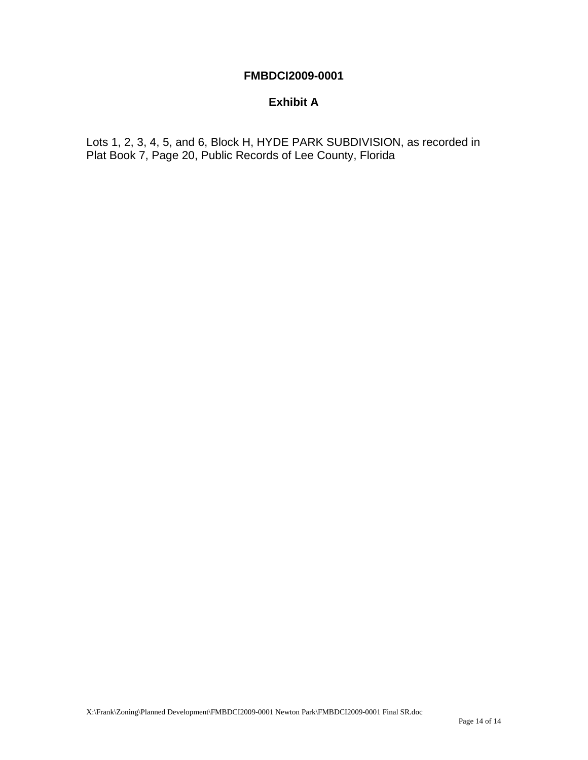## **FMBDCI2009-0001**

## **Exhibit A**

Lots 1, 2, 3, 4, 5, and 6, Block H, HYDE PARK SUBDIVISION, as recorded in Plat Book 7, Page 20, Public Records of Lee County, Florida